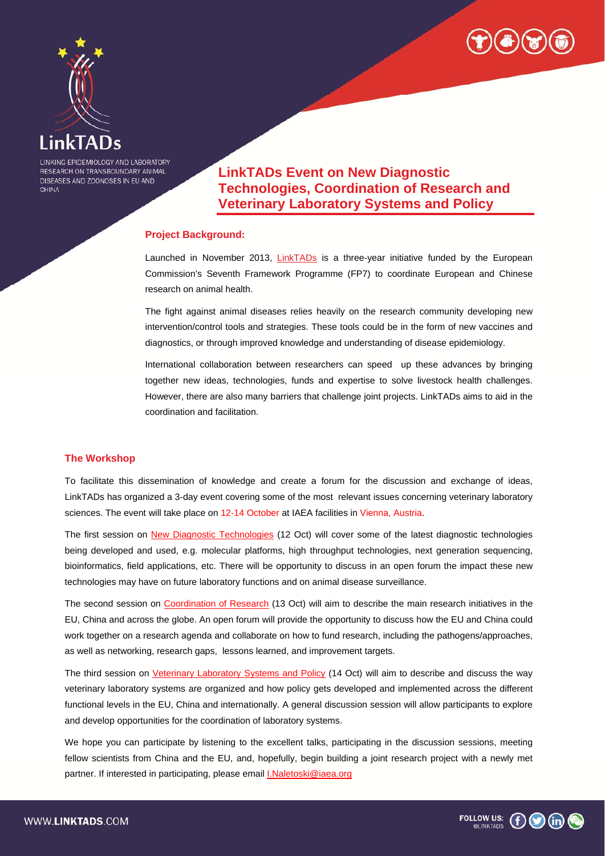



LINKING EPIDEMIOLOGY AND LABORATORY RESEARCH ON TRANSBOUNDARY ANIMAL DISEASES AND ZOONOSES IN EU AND CHINA

**LinkTADs Event on New Diagnostic Technologies, Coordination of Research and Veterinary Laboratory Systems and Policy** 

## **Project Background:**

Launched in November 2013, LinkTADs is a three-year initiative funded by the European Commission's Seventh Framework Programme (FP7) to coordinate European and Chinese research on animal health.

The fight against animal diseases relies heavily on the research community developing new intervention/control tools and strategies. These tools could be in the form of new vaccines and diagnostics, or through improved knowledge and understanding of disease epidemiology.

International collaboration between researchers can speed up these advances by bringing together new ideas, technologies, funds and expertise to solve livestock health challenges. However, there are also many barriers that challenge joint projects. LinkTADs aims to aid in the coordination and facilitation.

### **The Workshop**

To facilitate this dissemination of knowledge and create a forum for the discussion and exchange of ideas, LinkTADs has organized a 3-day event covering some of the most relevant issues concerning veterinary laboratory sciences. The event will take place on 12-14 October at IAEA facilities in Vienna, Austria.

The first session on New Diagnostic Technologies (12 Oct) will cover some of the latest diagnostic technologies being developed and used, e.g. molecular platforms, high throughput technologies, next generation sequencing, bioinformatics, field applications, etc. There will be opportunity to discuss in an open forum the impact these new technologies may have on future laboratory functions and on animal disease surveillance.

The second session on Coordination of Research (13 Oct) will aim to describe the main research initiatives in the EU, China and across the globe. An open forum will provide the opportunity to discuss how the EU and China could work together on a research agenda and collaborate on how to fund research, including the pathogens/approaches, as well as networking, research gaps, lessons learned, and improvement targets.

The third session on Veterinary Laboratory Systems and Policy (14 Oct) will aim to describe and discuss the way veterinary laboratory systems are organized and how policy gets developed and implemented across the different functional levels in the EU, China and internationally. A general discussion session will allow participants to explore and develop opportunities for the coordination of laboratory systems.

We hope you can participate by listening to the excellent talks, participating in the discussion sessions, meeting fellow scientists from China and the EU, and, hopefully, begin building a joint research project with a newly met partner. If interested in participating, please email *I.Naletoski@iaea.org* 

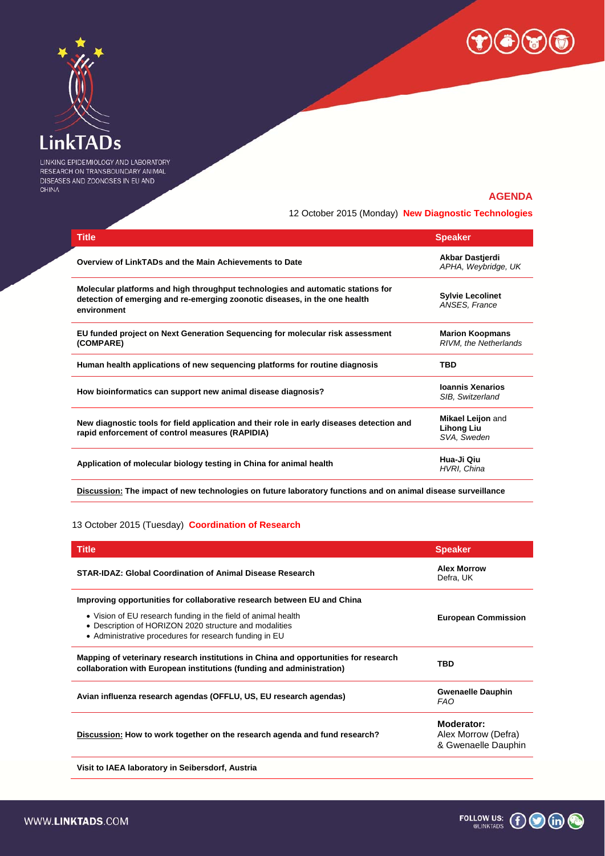



LINKING EPIDEMIOLOGY AND LABORATORY RESEARCH ON TRANSBOUNDARY ANIMAL DISEASES AND ZOONOSES IN EU AND CHINA

# **AGENDA**

12 October 2015 (Monday) **New Diagnostic Technologies**

| <b>Title</b>                                                                                                                                                                 | <b>Speaker</b>                                        |
|------------------------------------------------------------------------------------------------------------------------------------------------------------------------------|-------------------------------------------------------|
| Overview of LinkTADs and the Main Achievements to Date                                                                                                                       | Akbar Dastjerdi<br>APHA, Weybridge, UK                |
| Molecular platforms and high throughput technologies and automatic stations for<br>detection of emerging and re-emerging zoonotic diseases, in the one health<br>environment | <b>Sylvie Lecolinet</b><br>ANSES, France              |
| EU funded project on Next Generation Sequencing for molecular risk assessment<br>(COMPARE)                                                                                   | <b>Marion Koopmans</b><br>RIVM, the Netherlands       |
| Human health applications of new sequencing platforms for routine diagnosis                                                                                                  | <b>TBD</b>                                            |
| How bioinformatics can support new animal disease diagnosis?                                                                                                                 | <b>Ioannis Xenarios</b><br>SIB, Switzerland           |
| New diagnostic tools for field application and their role in early diseases detection and<br>rapid enforcement of control measures (RAPIDIA)                                 | Mikael Leijon and<br><b>Lihong Liu</b><br>SVA, Sweden |
| Application of molecular biology testing in China for animal health                                                                                                          | Hua-Ji Qiu<br>HVRI, China                             |
|                                                                                                                                                                              |                                                       |

**Discussion: The impact of new technologies on future laboratory functions and on animal disease surveillance** 

#### 13 October 2015 (Tuesday) **Coordination of Research**

| <b>Title</b>                                                                                                                                                                      | <b>Speaker</b>                                           |
|-----------------------------------------------------------------------------------------------------------------------------------------------------------------------------------|----------------------------------------------------------|
| STAR-IDAZ: Global Coordination of Animal Disease Research                                                                                                                         | <b>Alex Morrow</b><br>Defra, UK                          |
| Improving opportunities for collaborative research between EU and China                                                                                                           |                                                          |
| • Vision of EU research funding in the field of animal health<br>• Description of HORIZON 2020 structure and modalities<br>• Administrative procedures for research funding in EU | <b>European Commission</b>                               |
| Mapping of veterinary research institutions in China and opportunities for research<br>collaboration with European institutions (funding and administration)                      | TBD                                                      |
| Avian influenza research agendas (OFFLU, US, EU research agendas)                                                                                                                 | <b>Gwenaelle Dauphin</b><br>FAO                          |
| Discussion: How to work together on the research agenda and fund research?                                                                                                        | Moderator:<br>Alex Morrow (Defra)<br>& Gwenaelle Dauphin |
| Visit to IAEA laboratory in Seibersdorf, Austria                                                                                                                                  |                                                          |